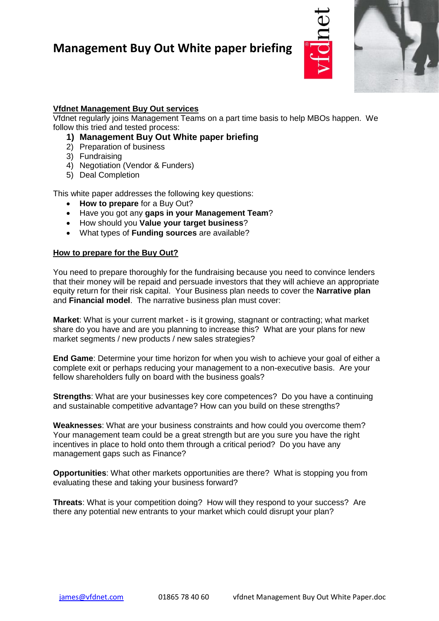

## **Vfdnet Management Buy Out services**

Vfdnet regularly joins Management Teams on a part time basis to help MBOs happen. We follow this tried and tested process:

- **1) Management Buy Out White paper briefing**
- 2) Preparation of business
- 3) Fundraising
- 4) Negotiation (Vendor & Funders)
- 5) Deal Completion

This white paper addresses the following key questions:

- **How to prepare** for a Buy Out?
- Have you got any **gaps in your Management Team**?
- How should you **Value your target business**?
- What types of **Funding sources** are available?

#### **How to prepare for the Buy Out?**

You need to prepare thoroughly for the fundraising because you need to convince lenders that their money will be repaid and persuade investors that they will achieve an appropriate equity return for their risk capital. Your Business plan needs to cover the **Narrative plan** and **Financial model**. The narrative business plan must cover:

**Market**: What is your current market - is it growing, stagnant or contracting; what market share do you have and are you planning to increase this? What are your plans for new market segments / new products / new sales strategies?

**End Game**: Determine your time horizon for when you wish to achieve your goal of either a complete exit or perhaps reducing your management to a non-executive basis. Are your fellow shareholders fully on board with the business goals?

**Strengths**: What are your businesses key core competences? Do you have a continuing and sustainable competitive advantage? How can you build on these strengths?

**Weaknesses**: What are your business constraints and how could you overcome them? Your management team could be a great strength but are you sure you have the right incentives in place to hold onto them through a critical period? Do you have any management gaps such as Finance?

**Opportunities**: What other markets opportunities are there? What is stopping you from evaluating these and taking your business forward?

**Threats**: What is your competition doing? How will they respond to your success? Are there any potential new entrants to your market which could disrupt your plan?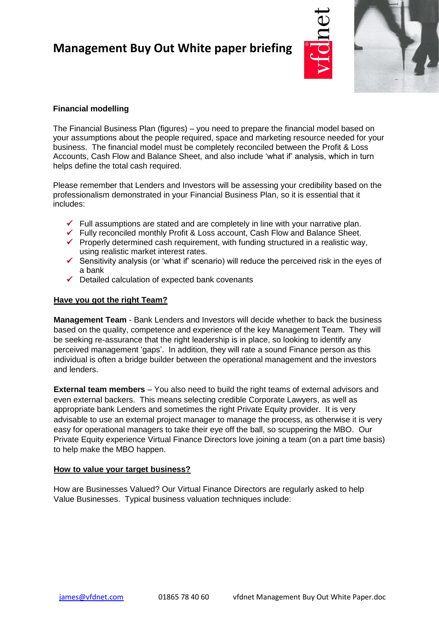

## **Financial modelling**

The Financial Business Plan (figures) – you need to prepare the financial model based on your assumptions about the people required, space and marketing resource needed for your business. The financial model must be completely reconciled between the Profit & Loss Accounts, Cash Flow and Balance Sheet, and also include 'what if' analysis, which in turn helps define the total cash required.

Please remember that Lenders and Investors will be assessing your credibility based on the professionalism demonstrated in your Financial Business Plan, so it is essential that it includes:

- $\checkmark$  Full assumptions are stated and are completely in line with your narrative plan.
- ✓ Fully reconciled monthly Profit & Loss account, Cash Flow and Balance Sheet.
- $\checkmark$  Properly determined cash requirement, with funding structured in a realistic way, using realistic market interest rates.
- $\checkmark$  Sensitivity analysis (or 'what if' scenario) will reduce the perceived risk in the eyes of a bank
- $\checkmark$  Detailed calculation of expected bank covenants

### **Have you got the right Team?**

**Management Team** - Bank Lenders and Investors will decide whether to back the business based on the quality, competence and experience of the key Management Team. They will be seeking re-assurance that the right leadership is in place, so looking to identify any perceived management 'gaps'. In addition, they will rate a sound Finance person as this individual is often a bridge builder between the operational management and the investors and lenders.

**External team members** – You also need to build the right teams of external advisors and even external backers. This means selecting credible Corporate Lawyers, as well as appropriate bank Lenders and sometimes the right Private Equity provider. It is very advisable to use an external project manager to manage the process, as otherwise it is very easy for operational managers to take their eye off the ball, so scuppering the MBO. Our Private Equity experience Virtual Finance Directors love joining a team (on a part time basis) to help make the MBO happen.

#### **How to value your target business?**

How are Businesses Valued? Our Virtual Finance Directors are regularly asked to help Value Businesses. Typical business valuation techniques include: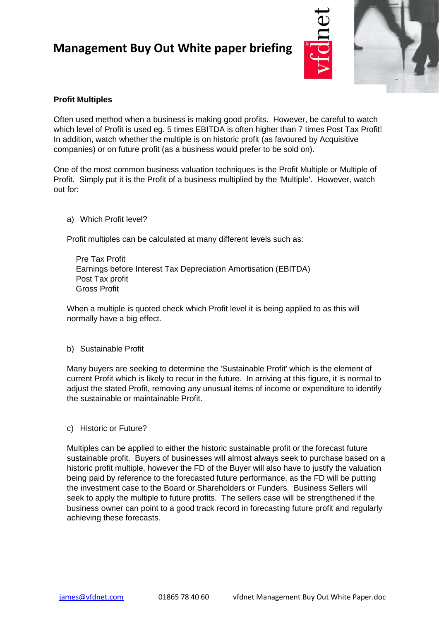

## **Profit Multiples**

Often used method when a business is making good profits. However, be careful to watch which level of Profit is used eg. 5 times EBITDA is often higher than 7 times Post Tax Profit! In addition, watch whether the multiple is on historic profit (as favoured by Acquisitive companies) or on future profit (as a business would prefer to be sold on).

One of the most common business valuation techniques is the Profit Multiple or Multiple of Profit. Simply put it is the Profit of a business multiplied by the 'Multiple'. However, watch out for:

a) Which Profit level?

Profit multiples can be calculated at many different levels such as:

 Pre Tax Profit Earnings before Interest Tax Depreciation Amortisation (EBITDA) Post Tax profit Gross Profit

When a multiple is quoted check which Profit level it is being applied to as this will normally have a big effect.

#### b) Sustainable Profit

Many buyers are seeking to determine the 'Sustainable Profit' which is the element of current Profit which is likely to recur in the future. In arriving at this figure, it is normal to adjust the stated Profit, removing any unusual items of income or expenditure to identify the sustainable or maintainable Profit.

c) Historic or Future?

Multiples can be applied to either the historic sustainable profit or the forecast future sustainable profit. Buyers of businesses will almost always seek to purchase based on a historic profit multiple, however the FD of the Buyer will also have to justify the valuation being paid by reference to the forecasted future performance, as the FD will be putting the investment case to the Board or Shareholders or Funders. Business Sellers will seek to apply the multiple to future profits. The sellers case will be strengthened if the business owner can point to a good track record in forecasting future profit and regularly achieving these forecasts.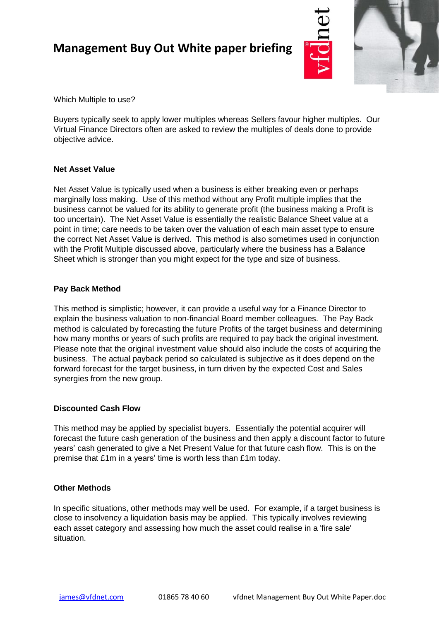

Which Multiple to use?

Buyers typically seek to apply lower multiples whereas Sellers favour higher multiples. Our Virtual Finance Directors often are asked to review the multiples of deals done to provide objective advice.

## **Net Asset Value**

Net Asset Value is typically used when a business is either breaking even or perhaps marginally loss making. Use of this method without any Profit multiple implies that the business cannot be valued for its ability to generate profit (the business making a Profit is too uncertain). The Net Asset Value is essentially the realistic Balance Sheet value at a point in time; care needs to be taken over the valuation of each main asset type to ensure the correct Net Asset Value is derived. This method is also sometimes used in conjunction with the Profit Multiple discussed above, particularly where the business has a Balance Sheet which is stronger than you might expect for the type and size of business.

### **Pay Back Method**

This method is simplistic; however, it can provide a useful way for a Finance Director to explain the business valuation to non-financial Board member colleagues. The Pay Back method is calculated by forecasting the future Profits of the target business and determining how many months or years of such profits are required to pay back the original investment. Please note that the original investment value should also include the costs of acquiring the business. The actual payback period so calculated is subjective as it does depend on the forward forecast for the target business, in turn driven by the expected Cost and Sales synergies from the new group.

### **Discounted Cash Flow**

This method may be applied by specialist buyers. Essentially the potential acquirer will forecast the future cash generation of the business and then apply a discount factor to future years' cash generated to give a Net Present Value for that future cash flow. This is on the premise that £1m in a years' time is worth less than £1m today.

### **Other Methods**

In specific situations, other methods may well be used. For example, if a target business is close to insolvency a liquidation basis may be applied. This typically involves reviewing each asset category and assessing how much the asset could realise in a 'fire sale' situation.